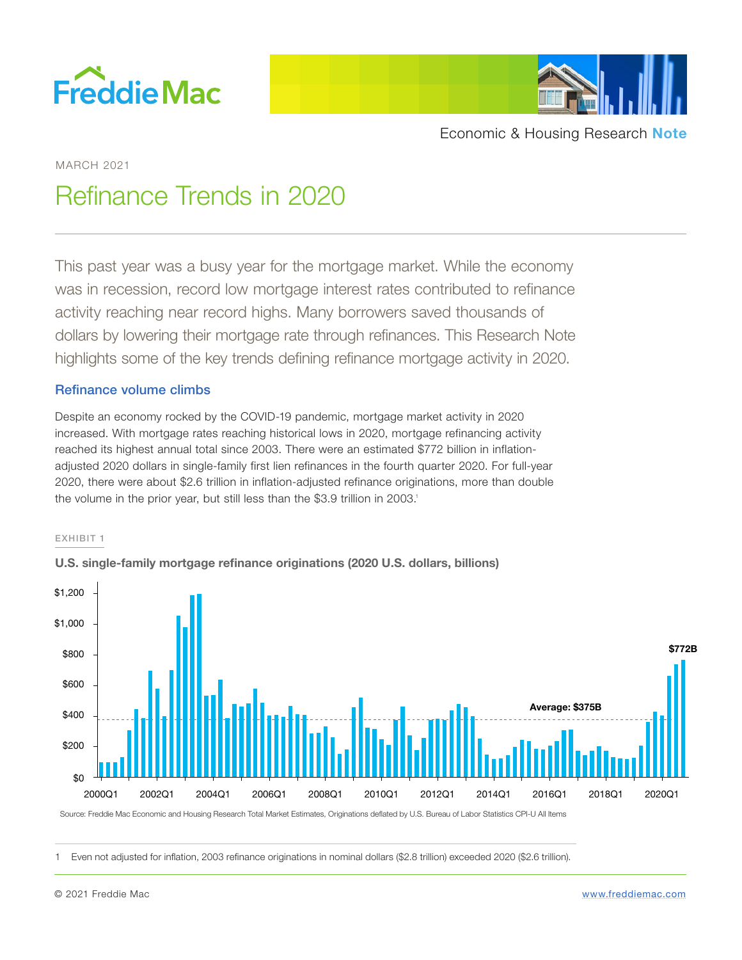



MARCH 2021

# Refinance Trends in 2020

This past year was a busy year for the mortgage market. While the economy was in recession, record low mortgage interest rates contributed to refinance activity reaching near record highs. Many borrowers saved thousands of dollars by lowering their mortgage rate through refinances. This Research Note highlights some of the key trends defining refinance mortgage activity in 2020.

# Refinance volume climbs

Despite an economy rocked by the COVID-19 pandemic, mortgage market activity in 2020 increased. With mortgage rates reaching historical lows in 2020, mortgage refinancing activity reached its highest annual total since 2003. There were an estimated \$772 billion in inflationadjusted 2020 dollars in single-family first lien refinances in the fourth quarter 2020. For full-year 2020, there were about \$2.6 trillion in inflation-adjusted refinance originations, more than double the volume in the prior year, but still less than the \$3.9 trillion in 2003.<sup>1</sup>

## EXHIBIT 1



**U.S. single-family mortgage refinance originations (2020 U.S. dollars, billions)**

Source: Freddie Mac Economic and Housing Research Total Market Estimates, Originations deflated by U.S. Bureau of Labor Statistics CPI-U All Items

1 Even not adjusted for inflation, 2003 refinance originations in nominal dollars (\$2.8 trillion) exceeded 2020 (\$2.6 trillion).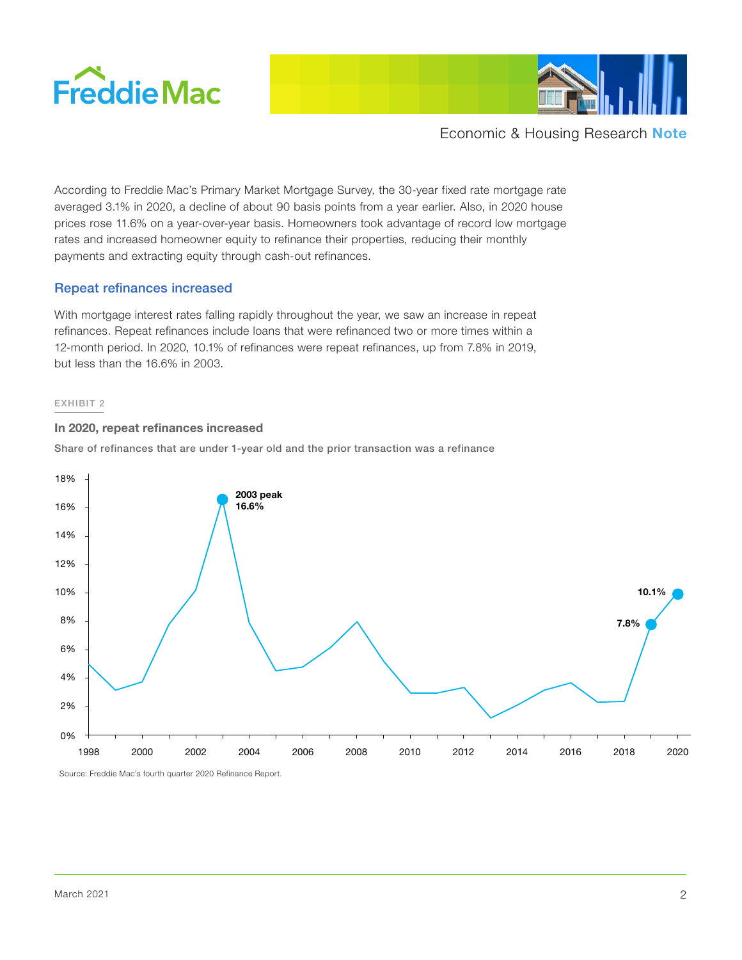



According to Freddie Mac's Primary Market Mortgage Survey, the 30-year fixed rate mortgage rate averaged 3.1% in 2020, a decline of about 90 basis points from a year earlier. Also, in 2020 house prices rose 11.6% on a year-over-year basis. Homeowners took advantage of record low mortgage rates and increased homeowner equity to refinance their properties, reducing their monthly payments and extracting equity through cash-out refinances.

# Repeat refinances increased

With mortgage interest rates falling rapidly throughout the year, we saw an increase in repeat refinances. Repeat refinances include loans that were refinanced two or more times within a 12-month period. In 2020, 10.1% of refinances were repeat refinances, up from 7.8% in 2019, but less than the 16.6% in 2003.

#### EXHIBIT 2

#### **In 2020, repeat refinances increased**

Share of refinances that are under 1-year old and the prior transaction was a refinance



Source: Freddie Mac's fourth quarter 2020 Refinance Report.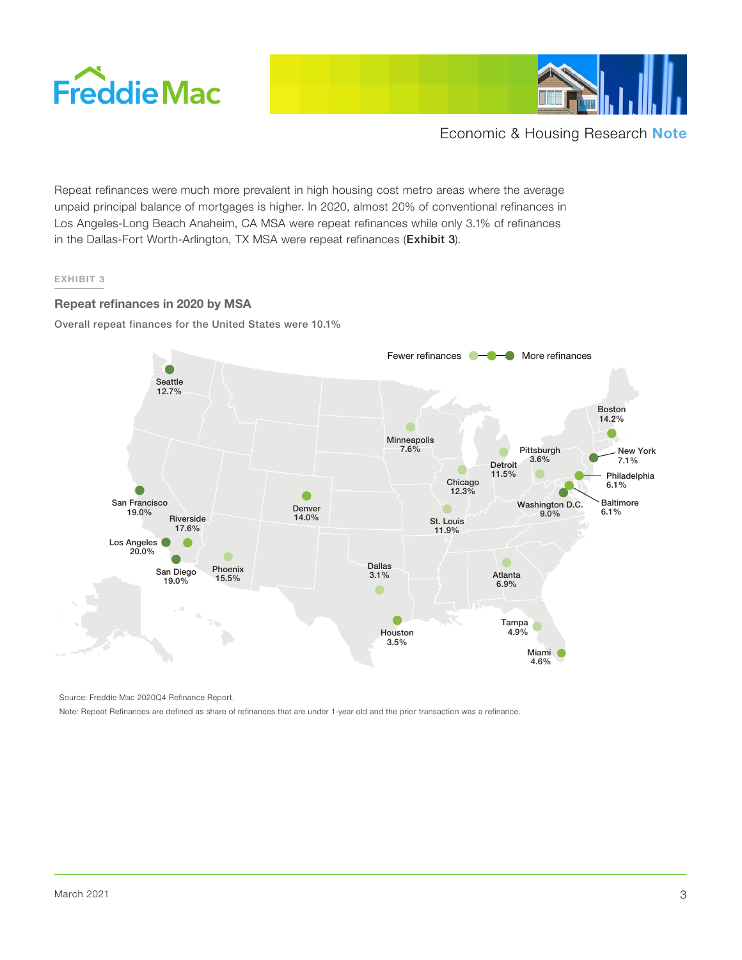



Repeat refinances were much more prevalent in high housing cost metro areas where the average unpaid principal balance of mortgages is higher. In 2020, almost 20% of conventional refinances in Los Angeles-Long Beach Anaheim, CA MSA were repeat refinances while only 3.1% of refinances in the Dallas-Fort Worth-Arlington, TX MSA were repeat refinances (Exhibit 3).

## EXHIBIT 3

## **Repeat refinances in 2020 by MSA**

Overall repeat finances for the United States were 10.1%



Source: Freddie Mac 2020Q4 Refinance Report.

Note: Repeat Refinances are defined as share of refinances that are under 1-year old and the prior transaction was a refinance.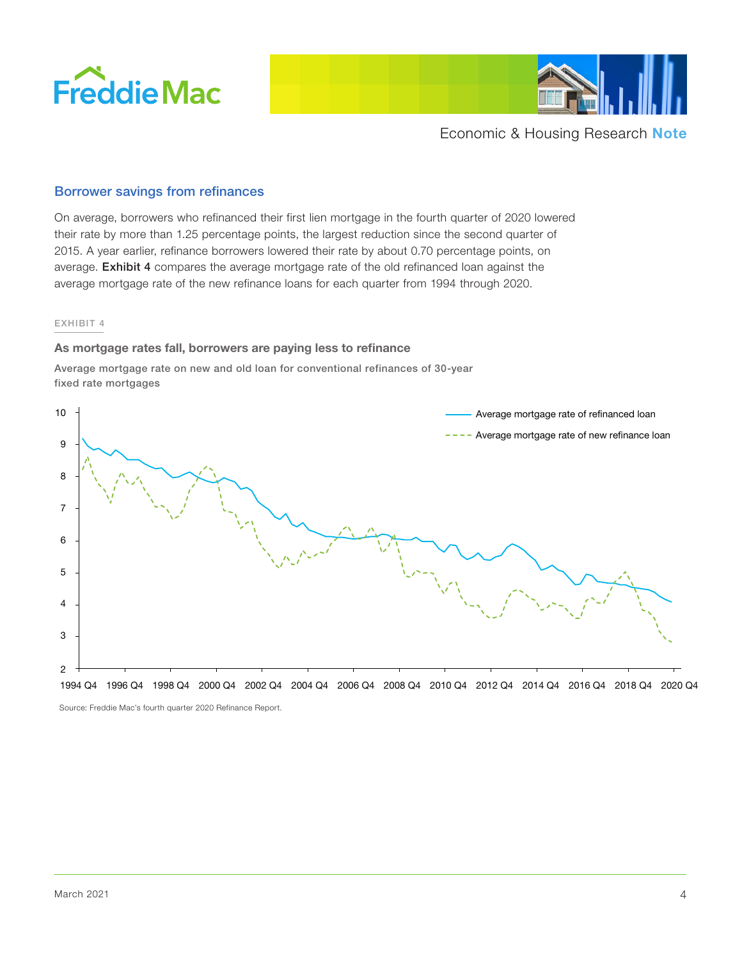



## Borrower savings from refinances

On average, borrowers who refinanced their first lien mortgage in the fourth quarter of 2020 lowered their rate by more than 1.25 percentage points, the largest reduction since the second quarter of 2015. A year earlier, refinance borrowers lowered their rate by about 0.70 percentage points, on average. Exhibit 4 compares the average mortgage rate of the old refinanced loan against the average mortgage rate of the new refinance loans for each quarter from 1994 through 2020.

#### EXHIBIT 4

#### **As mortgage rates fall, borrowers are paying less to refinance**

Average mortgage rate on new and old loan for conventional refinances of 30-year fixed rate mortgages



Source: Freddie Mac's fourth quarter 2020 Refinance Report.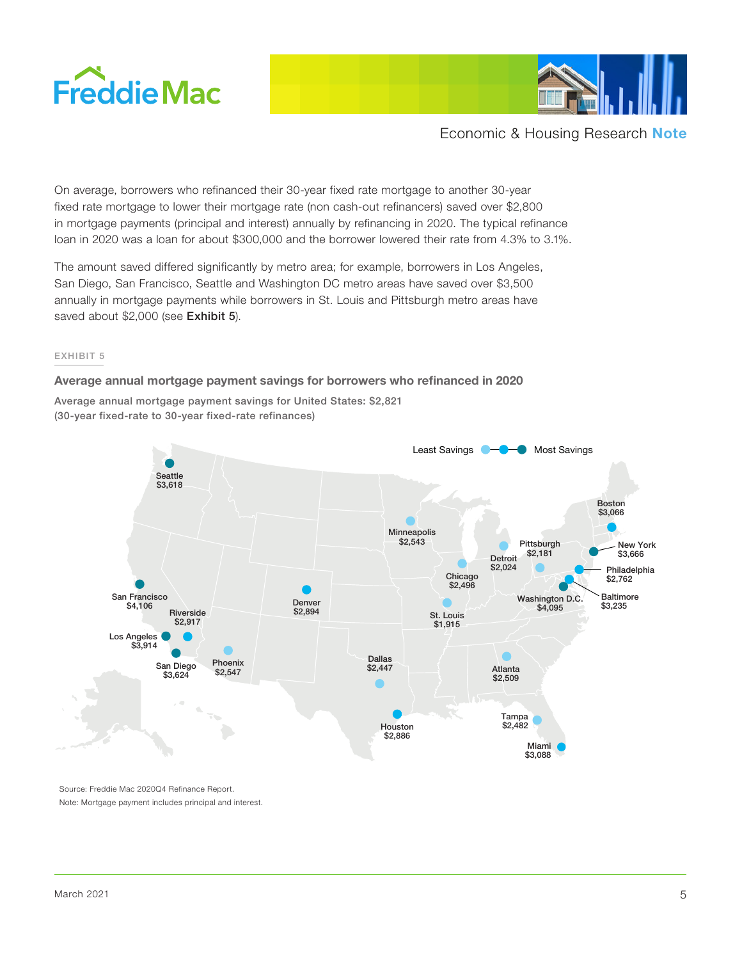



On average, borrowers who refinanced their 30-year fixed rate mortgage to another 30-year fixed rate mortgage to lower their mortgage rate (non cash-out refinancers) saved over \$2,800 in mortgage payments (principal and interest) annually by refinancing in 2020. The typical refinance loan in 2020 was a loan for about \$300,000 and the borrower lowered their rate from 4.3% to 3.1%.

The amount saved differed significantly by metro area; for example, borrowers in Los Angeles, San Diego, San Francisco, Seattle and Washington DC metro areas have saved over \$3,500 annually in mortgage payments while borrowers in St. Louis and Pittsburgh metro areas have saved about \$2,000 (see Exhibit 5).

#### EXHIBIT 5

#### **Average annual mortgage payment savings for borrowers who refinanced in 2020**

Average annual mortgage payment savings for United States: \$2,821 (30-year fixed-rate to 30-year fixed-rate refinances)



Source: Freddie Mac 2020Q4 Refinance Report. Note: Mortgage payment includes principal and interest.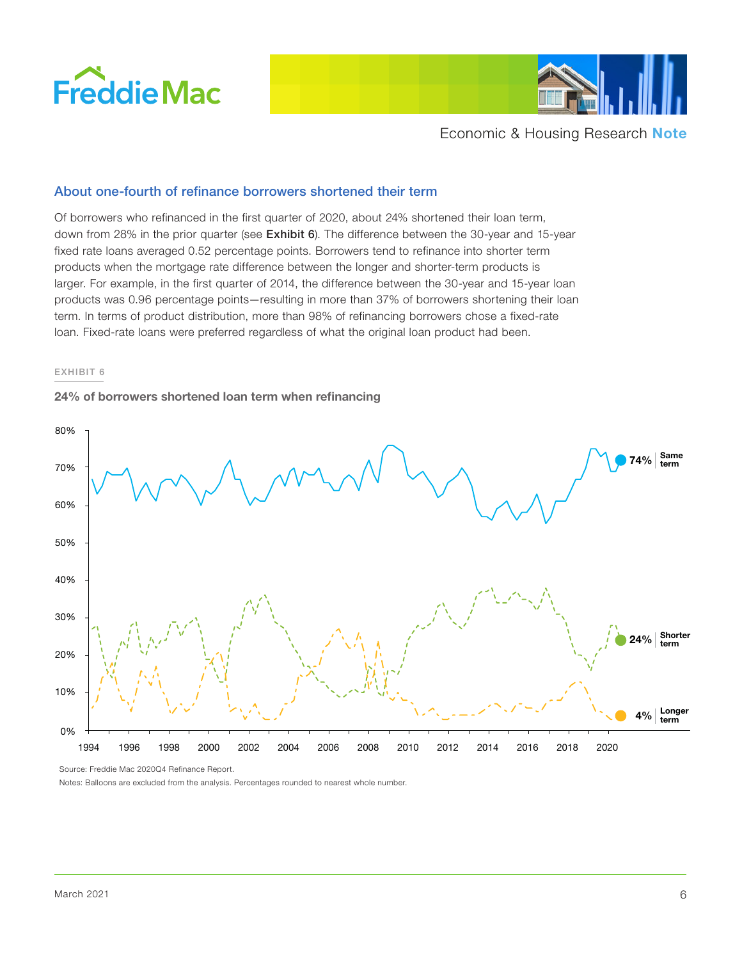



# About one-fourth of refinance borrowers shortened their term

Of borrowers who refinanced in the first quarter of 2020, about 24% shortened their loan term, down from 28% in the prior quarter (see Exhibit 6). The difference between the 30-year and 15-year fixed rate loans averaged 0.52 percentage points. Borrowers tend to refinance into shorter term products when the mortgage rate difference between the longer and shorter-term products is larger. For example, in the first quarter of 2014, the difference between the 30-year and 15-year loan products was 0.96 percentage points—resulting in more than 37% of borrowers shortening their loan term. In terms of product distribution, more than 98% of refinancing borrowers chose a fixed-rate loan. Fixed-rate loans were preferred regardless of what the original loan product had been.

#### EXHIBIT 6

#### **24% of borrowers shortened loan term when refinancing**



Source: Freddie Mac 2020Q4 Refinance Report.

Notes: Balloons are excluded from the analysis. Percentages rounded to nearest whole number.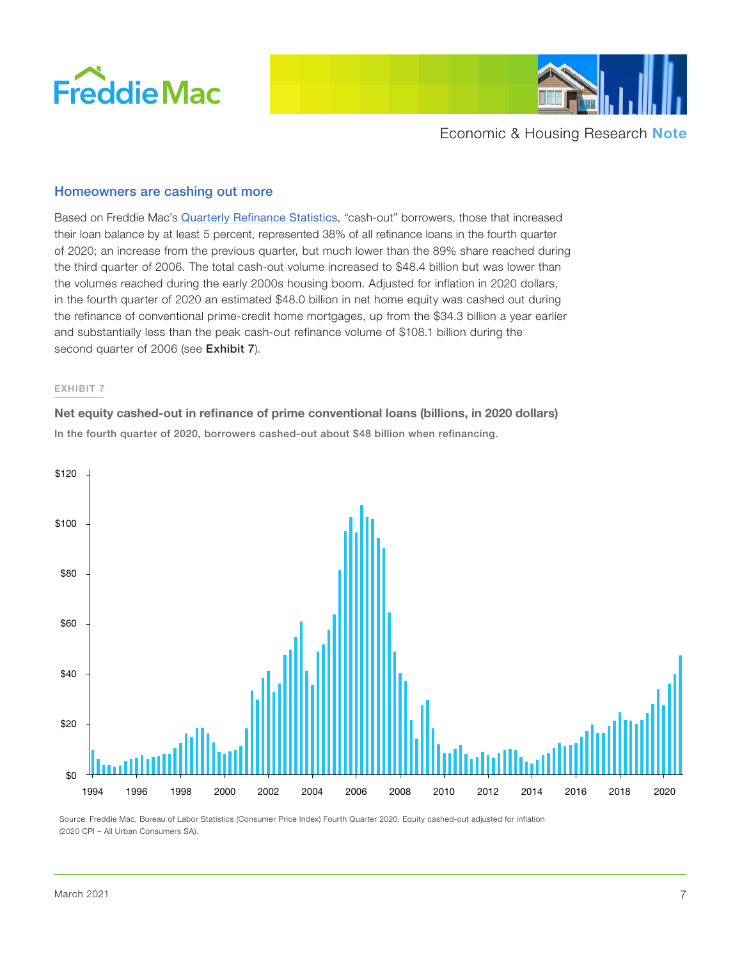



# Homeowners are cashing out more

Based on Freddie Mac's [Quarterly Refinance Statistics](http://www.freddiemac.com/research/datasets/refinance-stats/index.page), "cash-out" borrowers, those that increased their loan balance by at least 5 percent, represented 38% of all refinance loans in the fourth quarter of 2020; an increase from the previous quarter, but much lower than the 89% share reached during the third quarter of 2006. The total cash-out volume increased to \$48.4 billion but was lower than the volumes reached during the early 2000s housing boom. Adjusted for inflation in 2020 dollars, in the fourth quarter of 2020 an estimated \$48.0 billion in net home equity was cashed out during the refinance of conventional prime-credit home mortgages, up from the \$34.3 billion a year earlier and substantially less than the peak cash-out refinance volume of \$108.1 billion during the second quarter of 2006 (see Exhibit 7).

#### EXHIBIT 7

**Net equity cashed-out in refinance of prime conventional loans (billions, in 2020 dollars)** In the fourth quarter of 2020, borrowers cashed-out about \$48 billion when refinancing.



Source: Freddie Mac, Bureau of Labor Statistics (Consumer Price Index) Fourth Quarter 2020, Equity cashed-out adjusted for inflation (2020 CPI – All Urban Consumers SA).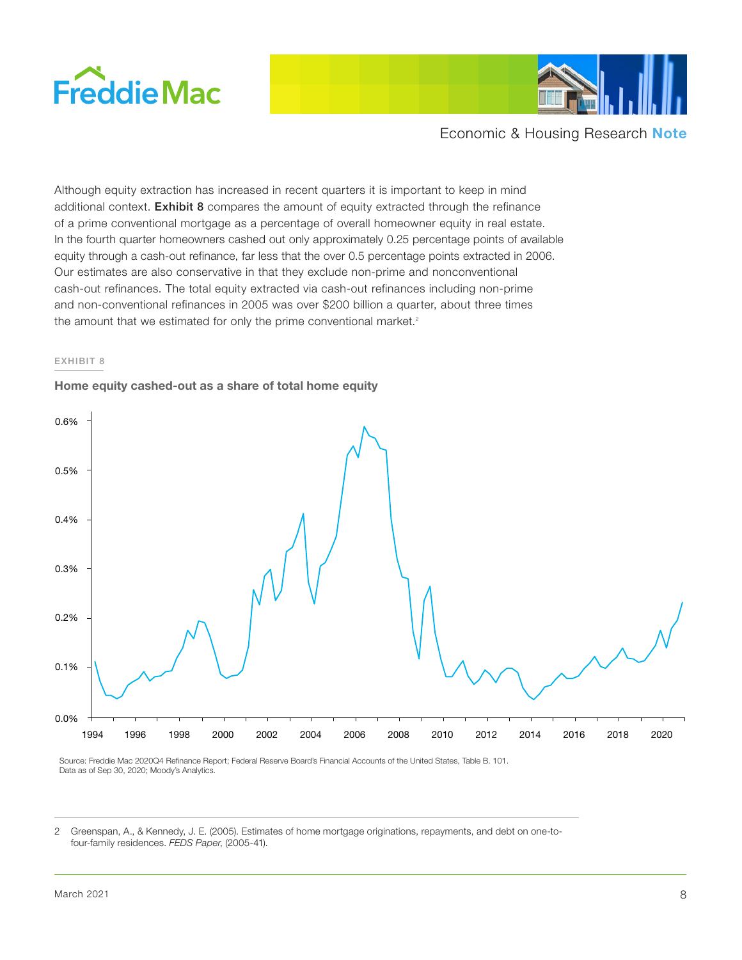



Although equity extraction has increased in recent quarters it is important to keep in mind additional context. Exhibit 8 compares the amount of equity extracted through the refinance of a prime conventional mortgage as a percentage of overall homeowner equity in real estate. In the fourth quarter homeowners cashed out only approximately 0.25 percentage points of available equity through a cash-out refinance, far less that the over 0.5 percentage points extracted in 2006. Our estimates are also conservative in that they exclude non-prime and nonconventional cash-out refinances. The total equity extracted via cash-out refinances including non-prime and non-conventional refinances in 2005 was over \$200 billion a quarter, about three times the amount that we estimated for only the prime conventional market. $2$ 

#### EXHIBIT 8

## **Home equity cashed-out as a share of total home equity**



Source: Freddie Mac 2020Q4 Refinance Report; Federal Reserve Board's Financial Accounts of the United States, Table B. 101. Data as of Sep 30, 2020; Moody's Analytics.

2 Greenspan, A., & Kennedy, J. E. (2005). Estimates of home mortgage originations, repayments, and debt on one-tofour-family residences. *FEDS Paper*, (2005-41).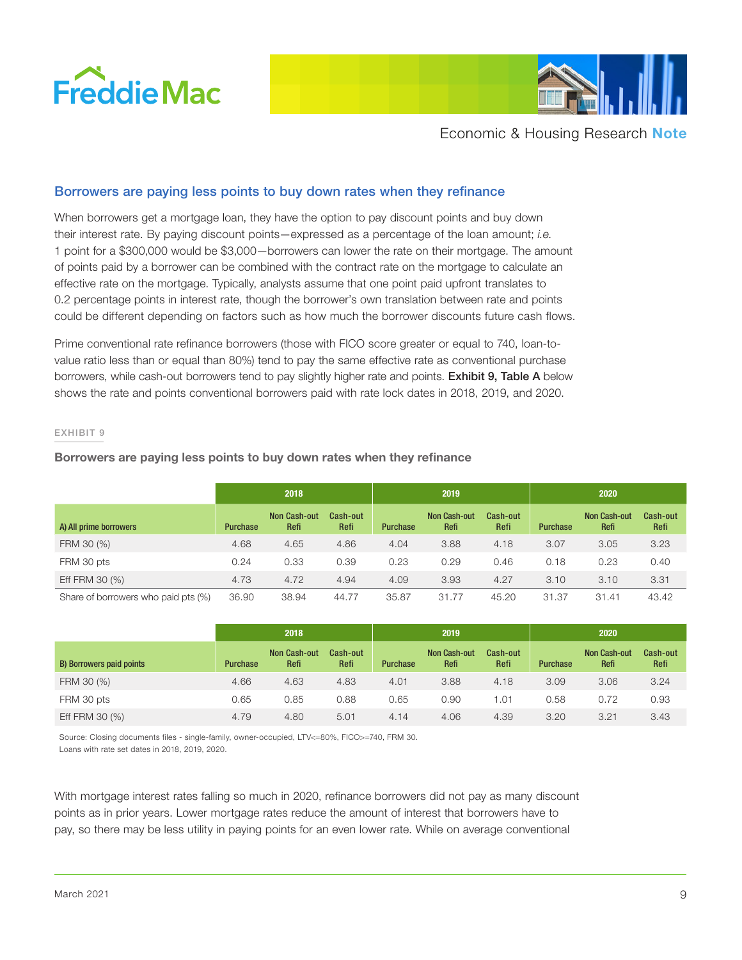



# Borrowers are paying less points to buy down rates when they refinance

When borrowers get a mortgage loan, they have the option to pay discount points and buy down their interest rate. By paying discount points—expressed as a percentage of the loan amount; *i.e.* 1 point for a \$300,000 would be \$3,000—borrowers can lower the rate on their mortgage. The amount of points paid by a borrower can be combined with the contract rate on the mortgage to calculate an effective rate on the mortgage. Typically, analysts assume that one point paid upfront translates to 0.2 percentage points in interest rate, though the borrower's own translation between rate and points could be different depending on factors such as how much the borrower discounts future cash flows.

Prime conventional rate refinance borrowers (those with FICO score greater or equal to 740, loan-tovalue ratio less than or equal than 80%) tend to pay the same effective rate as conventional purchase borrowers, while cash-out borrowers tend to pay slightly higher rate and points. **Exhibit 9, Table A** below shows the rate and points conventional borrowers paid with rate lock dates in 2018, 2019, and 2020.

#### EXHIBIT 9

#### **Borrowers are paying less points to buy down rates when they refinance**

|                                     | 2018            |                             |                  | 2019            |                             |                  | 2020            |                             |                  |
|-------------------------------------|-----------------|-----------------------------|------------------|-----------------|-----------------------------|------------------|-----------------|-----------------------------|------------------|
| A) All prime borrowers              | <b>Purchase</b> | <b>Non Cash-out</b><br>Refi | Cash-out<br>Refi | <b>Purchase</b> | <b>Non Cash-out</b><br>Refi | Cash-out<br>Refi | <b>Purchase</b> | <b>Non Cash-out</b><br>Refi | Cash-out<br>Refi |
| FRM 30 (%)                          | 4.68            | 4.65                        | 4.86             | 4.04            | 3.88                        | 4.18             | 3.07            | 3.05                        | 3.23             |
| FRM 30 pts                          | 0.24            | 0.33                        | 0.39             | 0.23            | 0.29                        | 0.46             | 0.18            | 0.23                        | 0.40             |
| Eff FRM 30 (%)                      | 4.73            | 4.72                        | 4.94             | 4.09            | 3.93                        | 4.27             | 3.10            | 3.10                        | 3.31             |
| Share of borrowers who paid pts (%) | 36.90           | 38.94                       | 44.77            | 35.87           | 31.77                       | 45.20            | 31.37           | 31.41                       | 43.42            |

|                          |                 | 2018                        |                  |                 | 2019                        |                  |                 | 2020                        |                  |
|--------------------------|-----------------|-----------------------------|------------------|-----------------|-----------------------------|------------------|-----------------|-----------------------------|------------------|
| B) Borrowers paid points | <b>Purchase</b> | <b>Non Cash-out</b><br>Refi | Cash-out<br>Refi | <b>Purchase</b> | <b>Non Cash-out</b><br>Refi | Cash-out<br>Refi | <b>Purchase</b> | <b>Non Cash-out</b><br>Refi | Cash-out<br>Refi |
| FRM 30 (%)               | 4.66            | 4.63                        | 4.83             | 4.01            | 3.88                        | 4.18             | 3.09            | 3.06                        | 3.24             |
| FRM 30 pts               | 0.65            | 0.85                        | 0.88             | 0.65            | 0.90                        | 01. ا            | 0.58            | 0.72                        | 0.93             |
| Eff FRM 30 (%)           | 4.79            | 4.80                        | 5.01             | 4.14            | 4.06                        | 4.39             | 3.20            | 3.21                        | 3.43             |

Source: Closing documents files - single-family, owner-occupied, LTV<=80%, FICO>=740, FRM 30. Loans with rate set dates in 2018, 2019, 2020.

With mortgage interest rates falling so much in 2020, refinance borrowers did not pay as many discount points as in prior years. Lower mortgage rates reduce the amount of interest that borrowers have to pay, so there may be less utility in paying points for an even lower rate. While on average conventional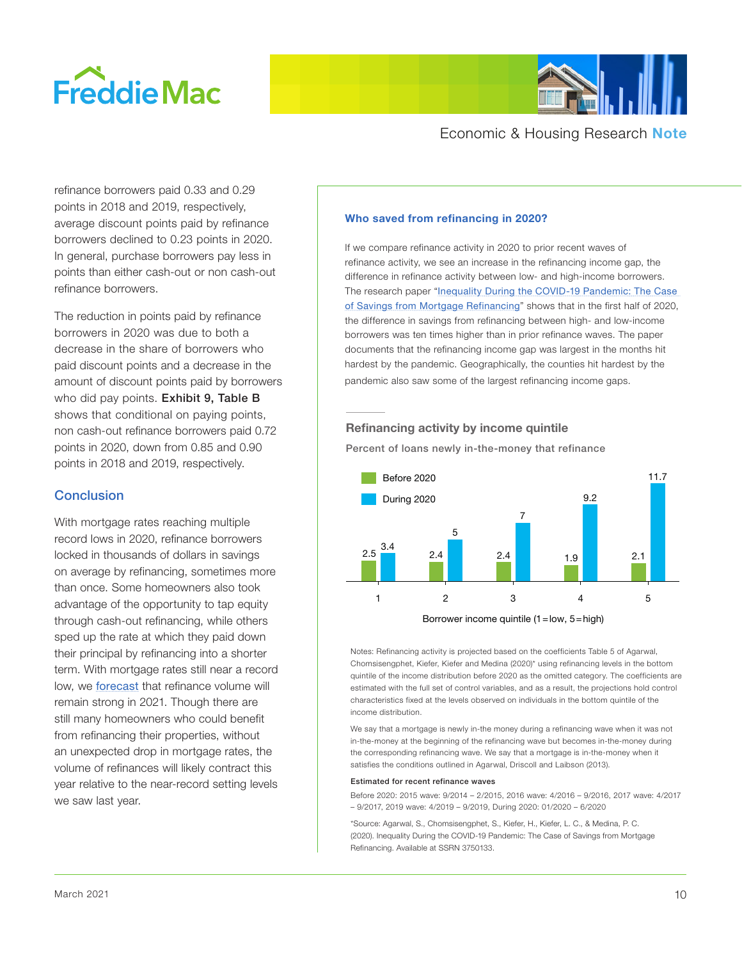



refinance borrowers paid 0.33 and 0.29 points in 2018 and 2019, respectively, average discount points paid by refinance borrowers declined to 0.23 points in 2020. In general, purchase borrowers pay less in points than either cash-out or non cash-out refinance borrowers.

The reduction in points paid by refinance borrowers in 2020 was due to both a decrease in the share of borrowers who paid discount points and a decrease in the amount of discount points paid by borrowers who did pay points. Exhibit 9, Table B shows that conditional on paying points, non cash-out refinance borrowers paid 0.72 points in 2020, down from 0.85 and 0.90 points in 2018 and 2019, respectively.

# **Conclusion**

With mortgage rates reaching multiple record lows in 2020, refinance borrowers locked in thousands of dollars in savings on average by refinancing, sometimes more than once. Some homeowners also took advantage of the opportunity to tap equity through cash-out refinancing, while others sped up the rate at which they paid down their principal by refinancing into a shorter term. With mortgage rates still near a record low, we **[forecast](http://www.freddiemac.com/research/forecast/20210114_quarterly_economic_forecast.page?)** that refinance volume will remain strong in 2021. Though there are still many homeowners who could benefit from refinancing their properties, without an unexpected drop in mortgage rates, the volume of refinances will likely contract this year relative to the near-record setting levels we saw last year.

## **Who saved from refinancing in 2020?**

If we compare refinance activity in 2020 to prior recent waves of refinance activity, we see an increase in the refinancing income gap, the difference in refinance activity between low- and high-income borrowers. The research paper "[Inequality During the COVID-19 Pandemic: The Case](https://papers.ssrn.com/sol3/papers.cfm?abstract_id=3750133)  [of Savings from Mortgage Refinancing](https://papers.ssrn.com/sol3/papers.cfm?abstract_id=3750133)" shows that in the first half of 2020, the difference in savings from refinancing between high- and low-income borrowers was ten times higher than in prior refinance waves. The paper documents that the refinancing income gap was largest in the months hit hardest by the pandemic. Geographically, the counties hit hardest by the pandemic also saw some of the largest refinancing income gaps.

# **Refinancing activity by income quintile**

Percent of loans newly in-the-money that refinance



Borrower income quintile (1=low, 5=high)

Notes: Refinancing activity is projected based on the coefficients Table 5 of Agarwal, Chomsisengphet, Kiefer, Kiefer and Medina (2020)\* using refinancing levels in the bottom quintile of the income distribution before 2020 as the omitted category. The coefficients are estimated with the full set of control variables, and as a result, the projections hold control characteristics fixed at the levels observed on individuals in the bottom quintile of the income distribution.

We say that a mortgage is newly in-the money during a refinancing wave when it was not in-the-money at the beginning of the refinancing wave but becomes in-the-money during the corresponding refinancing wave. We say that a mortgage is in-the-money when it satisfies the conditions outlined in Agarwal, Driscoll and Laibson (2013).

#### Estimated for recent refinance waves

Before 2020: 2015 wave: 9/2014 – 2/2015, 2016 wave: 4/2016 – 9/2016, 2017 wave: 4/2017 – 9/2017, 2019 wave: 4/2019 – 9/2019, During 2020: 01/2020 – 6/2020

\*Source: Agarwal, S., Chomsisengphet, S., Kiefer, H., Kiefer, L. C., & Medina, P. C. (2020). Inequality During the COVID-19 Pandemic: The Case of Savings from Mortgage Refinancing. Available at SSRN 3750133.